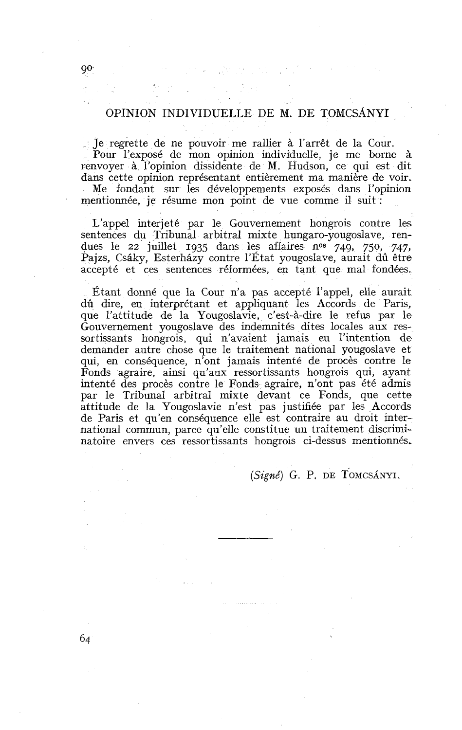## OPINION INDIVIDUELLE DE M. DE TOMCSANYI

Je regrette de ne pouvoir me rallier à l'arrêt de la Cour. Pour l'exposé de mon opinion individuelle, je me borne à renvoyer à l'opinion dissidente de M. Hudson, ce qui est dit dans cette opinion représentant entièrement ma manière de voir. Me fondant sur les développements exposés dans l'opinion mentionnée, je résume mon point de vue comme il suit :

L'appel interjeté par le Gouvernement hongrois contre les sentences du Tribunal arbitral mixte hungaro-yougoslave, rendues le 22 juillet 1935 dans les affaires n<sup>os</sup> 749, 750, 747, Pajzs, Csáky, Esterházy contre l'État yougoslave, aurait dû être accepté et ces sentences réformées, en tant que mal fondées.

Étant donné que la Cour n'a pas accepté l'appel, elle aurait dû dire, en interprétant et appliquant les Accords de Paris, que l'attitude de la Yougoslavie, c'est-à-dire le refus par le Gouvernement yougoslave des indemnités dites locales aux ressortissants hongrois, qui n'avaient jamais eu l'intention de demander autre chose que le traitement national yougoslave et qui, en conséquence, n'ont jamais intenté de procès contre le Fonds agraire, ainsi qu'aux ressortissants hongrois qui, ayant intenté des procès contre le Fonds agraire, n'ont pas été admis par le Tribunal arbitral mixte devant ce Fonds, que cette attitude de la Yougoslavie n'est pas justifiée par les Accords de Paris et qu'en conséquence elle est contraire au droit international commun, parce qu'elle constitue un traitement discriminatoire envers ces ressortissants hongrois ci-dessus mentionnés,

**(Signé)** G. P. DE TOMCSANYI.

 $90^{\circ}$